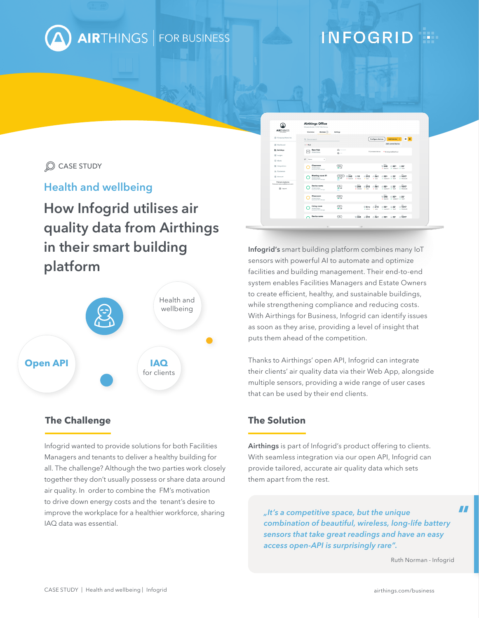

## **INFOGRID**

### CASE STUDY

## **Health and wellbeing**

# **How Infogrid utilises air quality data from Airthings in their smart building platform**



### **The Challenge The Solution**

Infogrid wanted to provide solutions for both Facilities Managers and tenants to deliver a healthy building for all. The challenge? Although the two parties work closely together they don't usually possess or share data around air quality. In order to combine the FM's motivation to drive down energy costs and the tenant's desire to improve the workplace for a healthier workforce, sharing IAQ data was essential.

| <b>AIRTHINGS</b><br><b>POR BUSINESS</b>           | <b>Airthings Office</b><br>Wergelandsveien 7, 0167 Oslo, Norway<br>Devices <sup>(3)</sup><br>Overview | <b>Settings</b>                                                                |                                                                                                                              |  |
|---------------------------------------------------|-------------------------------------------------------------------------------------------------------|--------------------------------------------------------------------------------|------------------------------------------------------------------------------------------------------------------------------|--|
| Company Name Inc.                                 | Q. Device search                                                                                      |                                                                                | B<br>Add device<br>Configure devices                                                                                         |  |
| ST Dashboard                                      | $A + Hab$                                                                                             |                                                                                | Add control device                                                                                                           |  |
| <b>B</b> Buildings                                | <b>New Hub</b><br>ma<br>29330123456                                                                   | $\bullet$ -<br><b>ID</b> IN                                                    | 7 Connected devices . 9 prot synced last hour                                                                                |  |
| <b>E</b> Insight<br><sup>17</sup> Alens           | $\overline{\nu}$ .<br>News<br>٠                                                                       |                                                                                |                                                                                                                              |  |
| 22 Integrations                                   | Classroom<br>29300123456<br>Led survival: B-romates alan                                              | $\overline{C}$<br><b>Section</b>                                               | Box <sup>2</sup><br>%245<br>0.50%<br>122<br>. RADON . HUMOTY . TEMP                                                          |  |
| 21 Customers                                      |                                                                                                       |                                                                                | abc                                                                                                                          |  |
| <b>CD</b> Account<br>Firstname Lastname           | Meeting room 01<br>29330123814<br>Leit sunced: 8-minutes ages                                         | <b>Mee Plus</b><br>245<br>$= 19$<br>m at<br>$+$ RADON<br>$-$ FM2.5<br>$\cdots$ | 561<br>€ 1017<br>$\bigcap$ 50%<br>215<br>$22^{\circ}$<br>$+$ VOC<br>$+$ $000$<br>$+$ HARDITY $+$ TEMP<br>$-$ <i>PHISSINE</i> |  |
| finteame.lastname@domain.com<br><b>ED</b> Log out | Device name<br>29300123456<br>Let systed & minutes ago                                                | <b>Select</b><br>$\sqrt{2}$<br>9245<br>- 4<br>$-$ RNDCAL                       | who:<br>$-215$<br>◯561<br>@1017<br>€ 50%<br>122<br>$+ 900$<br>$+$ 000<br>· PRESSURE<br>· HJMOTY · TEMP                       |  |
|                                                   | Classroom<br>29300123456<br>Lei synoni. Eminutes age                                                  | $\sqrt{2}$<br>- 4                                                              | <b>Bally</b><br>$*245$<br>$0.50$ <sup>%</sup><br>122<br>. RADON . HUMOTY . TEMP                                              |  |
|                                                   | Living room<br>29300123456<br>Let syncod: 8-minutes ago                                               | $\equiv$<br>$-4$                                                               | an-<br>$-.215$<br>◎ 0/10<br>€ 50%<br>◎ 1017<br>\$22"<br>$+$ MOLD<br>$+$ VOC<br>$+$ HARDTY $+$ TEMP<br>$+$ <i>recount</i>     |  |
|                                                   | Device name                                                                                           | Ne<br>$\circ$<br>9245                                                          | ohe.<br>$-.215$<br>◎ 561<br>0.50<br>@1017<br>$\pm 22$                                                                        |  |
|                                                   | $\sim$                                                                                                | $\overline{u}$                                                                 |                                                                                                                              |  |

**Infogrid's** smart building platform combines many IoT sensors with powerful AI to automate and optimize facilities and building management. Their end-to-end system enables Facilities Managers and Estate Owners to create efficient, healthy, and sustainable buildings, while strengthening compliance and reducing costs. With Airthings for Business, Infogrid can identify issues as soon as they arise, providing a level of insight that puts them ahead of the competition.

Thanks to Airthings' open API, Infogrid can integrate their clients' air quality data via their Web App, alongside multiple sensors, providing a wide range of user cases that can be used by their end clients.

**Airthings** is part of Infogrid's product offering to clients. With seamless integration via our open API, Infogrid can provide tailored, accurate air quality data which sets them apart from the rest.

*"It's a competitive space, but the unique combination of beautiful, wireless, long-life battery sensors that take great readings and have an easy access open-API is surprisingly rare".*

Ruth Norman - Infogrid

 $\overline{\mathbf{H}}$